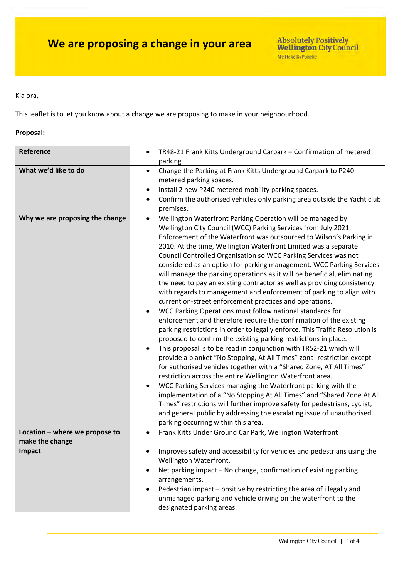Kia ora,

This leaflet is to let you know about a change we are proposing to make in your neighbourhood.

### **Proposal:**

| Reference                                         | TR48-21 Frank Kitts Underground Carpark - Confirmation of metered<br>$\bullet$<br>parking                                                                                                                                                                                                                                                                                                                                                                                                                                                                                                                                                                                                                                                                                                                                                                                                                                                                                                                                                                                                                                                                                                                                                                                                                                                                                                                                                                                                                                                                                                                                    |  |  |
|---------------------------------------------------|------------------------------------------------------------------------------------------------------------------------------------------------------------------------------------------------------------------------------------------------------------------------------------------------------------------------------------------------------------------------------------------------------------------------------------------------------------------------------------------------------------------------------------------------------------------------------------------------------------------------------------------------------------------------------------------------------------------------------------------------------------------------------------------------------------------------------------------------------------------------------------------------------------------------------------------------------------------------------------------------------------------------------------------------------------------------------------------------------------------------------------------------------------------------------------------------------------------------------------------------------------------------------------------------------------------------------------------------------------------------------------------------------------------------------------------------------------------------------------------------------------------------------------------------------------------------------------------------------------------------------|--|--|
| What we'd like to do                              | Change the Parking at Frank Kitts Underground Carpark to P240<br>$\bullet$<br>metered parking spaces.<br>Install 2 new P240 metered mobility parking spaces.<br>Confirm the authorised vehicles only parking area outside the Yacht club<br>premises.                                                                                                                                                                                                                                                                                                                                                                                                                                                                                                                                                                                                                                                                                                                                                                                                                                                                                                                                                                                                                                                                                                                                                                                                                                                                                                                                                                        |  |  |
| Why we are proposing the change                   | Wellington Waterfront Parking Operation will be managed by<br>Wellington City Council (WCC) Parking Services from July 2021.<br>Enforcement of the Waterfront was outsourced to Wilson's Parking in<br>2010. At the time, Wellington Waterfront Limited was a separate<br>Council Controlled Organisation so WCC Parking Services was not<br>considered as an option for parking management. WCC Parking Services<br>will manage the parking operations as it will be beneficial, eliminating<br>the need to pay an existing contractor as well as providing consistency<br>with regards to management and enforcement of parking to align with<br>current on-street enforcement practices and operations.<br>WCC Parking Operations must follow national standards for<br>enforcement and therefore require the confirmation of the existing<br>parking restrictions in order to legally enforce. This Traffic Resolution is<br>proposed to confirm the existing parking restrictions in place.<br>This proposal is to be read in conjunction with TR52-21 which will<br>provide a blanket "No Stopping, At All Times" zonal restriction except<br>for authorised vehicles together with a "Shared Zone, AT All Times"<br>restriction across the entire Wellington Waterfront area.<br>WCC Parking Services managing the Waterfront parking with the<br>implementation of a "No Stopping At All Times" and "Shared Zone At All<br>Times" restrictions will further improve safety for pedestrians, cyclist,<br>and general public by addressing the escalating issue of unauthorised<br>parking occurring within this area. |  |  |
| Location - where we propose to<br>make the change | Frank Kitts Under Ground Car Park, Wellington Waterfront                                                                                                                                                                                                                                                                                                                                                                                                                                                                                                                                                                                                                                                                                                                                                                                                                                                                                                                                                                                                                                                                                                                                                                                                                                                                                                                                                                                                                                                                                                                                                                     |  |  |
| Impact                                            | Improves safety and accessibility for vehicles and pedestrians using the<br>Wellington Waterfront.<br>Net parking impact - No change, confirmation of existing parking<br>arrangements.<br>Pedestrian impact - positive by restricting the area of illegally and<br>unmanaged parking and vehicle driving on the waterfront to the<br>designated parking areas.                                                                                                                                                                                                                                                                                                                                                                                                                                                                                                                                                                                                                                                                                                                                                                                                                                                                                                                                                                                                                                                                                                                                                                                                                                                              |  |  |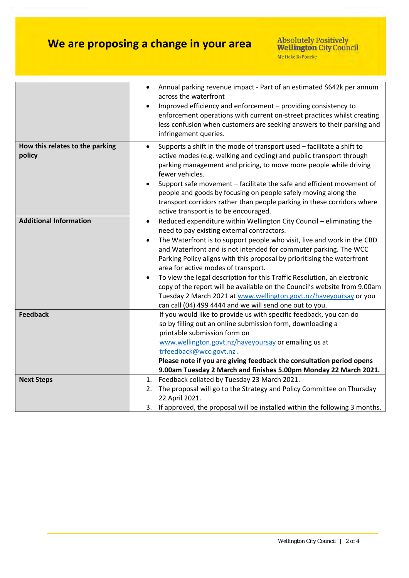## **We are proposing a change in your area**

|                                           | Annual parking revenue impact - Part of an estimated \$642k per annum<br>across the waterfront<br>Improved efficiency and enforcement - providing consistency to<br>enforcement operations with current on-street practices whilst creating<br>less confusion when customers are seeking answers to their parking and<br>infringement queries.                                                   |
|-------------------------------------------|--------------------------------------------------------------------------------------------------------------------------------------------------------------------------------------------------------------------------------------------------------------------------------------------------------------------------------------------------------------------------------------------------|
| How this relates to the parking<br>policy | Supports a shift in the mode of transport used - facilitate a shift to<br>$\bullet$<br>active modes (e.g. walking and cycling) and public transport through<br>parking management and pricing, to move more people while driving<br>fewer vehicles.                                                                                                                                              |
|                                           | Support safe movement - facilitate the safe and efficient movement of<br>people and goods by focusing on people safely moving along the<br>transport corridors rather than people parking in these corridors where<br>active transport is to be encouraged.                                                                                                                                      |
| <b>Additional Information</b>             | Reduced expenditure within Wellington City Council - eliminating the<br>$\bullet$<br>need to pay existing external contractors.<br>The Waterfront is to support people who visit, live and work in the CBD<br>and Waterfront and is not intended for commuter parking. The WCC<br>Parking Policy aligns with this proposal by prioritising the waterfront<br>area for active modes of transport. |
|                                           | To view the legal description for this Traffic Resolution, an electronic<br>copy of the report will be available on the Council's website from 9.00am<br>Tuesday 2 March 2021 at www.wellington.govt.nz/haveyoursay or you<br>can call (04) 499 4444 and we will send one out to you.                                                                                                            |
| <b>Feedback</b>                           | If you would like to provide us with specific feedback, you can do<br>so by filling out an online submission form, downloading a<br>printable submission form on<br>www.wellington.govt.nz/haveyoursay or emailing us at<br>trfeedback@wcc.govt.nz.<br>Please note if you are giving feedback the consultation period opens<br>9.00am Tuesday 2 March and finishes 5.00pm Monday 22 March 2021.  |
| <b>Next Steps</b>                         | Feedback collated by Tuesday 23 March 2021.<br>1.<br>The proposal will go to the Strategy and Policy Committee on Thursday<br>2.<br>22 April 2021.<br>3. If approved, the proposal will be installed within the following 3 months.                                                                                                                                                              |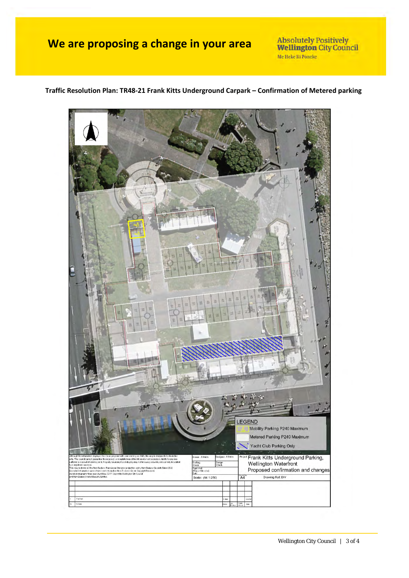### **We are proposing a change in your area**

Absolutely Positively<br>Wellington City Council Me Heke Ki Pôneke

# EGEND Mobility Parking P240 Maximum Metered Parking P240 Maximum Yacht Club Parking Only Frank Kitts Underground Parking, wi: A Helm inable the accurs by an complete<br>to an it. Peters is boundary (Ass a of the Info Wellington Waterfront 쒾 Proposed confirmation and changes e Mercator projection, using New Zeala<br>in Now Zoulond: Grown Gopyright Rouse<br>pywilte Wellington City Council<br>pprovist<br>Yojast Dirastor)<br>In uered from Land Information<br>on over April-May 2017, Cop<br>(IMapping Limite), Drawing Rof: DIV Scale: (A4 1:250)

**Traffic Resolution Plan: TR48‐21 Frank Kitts Underground Carpark – Confirmation of Metered parking**